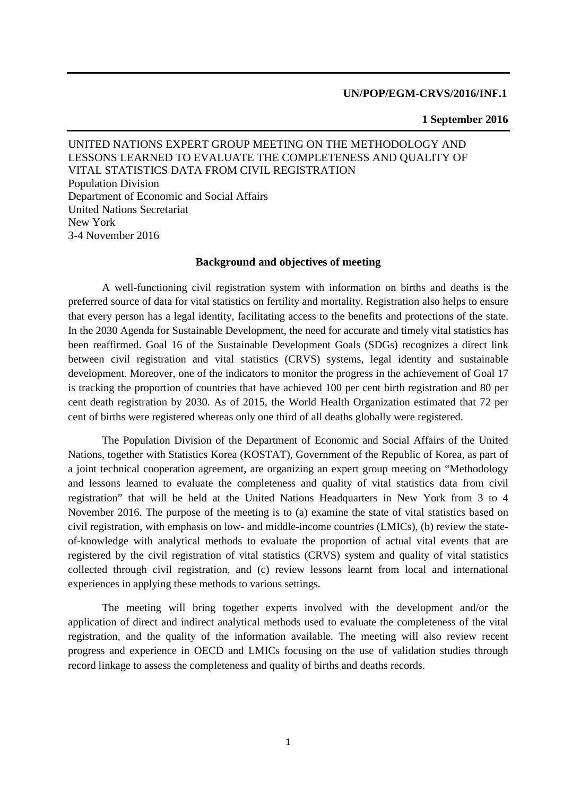## **UN/POP/EGM-CRVS/2016/INF.1**

## **1 September 2016**

UNITED NATIONS EXPERT GROUP MEETING ON THE METHODOLOGY AND LESSONS LEARNED TO EVALUATE THE COMPLETENESS AND QUALITY OF VITAL STATISTICS DATA FROM CIVIL REGISTRATION Population Division Department of Economic and Social Affairs United Nations Secretariat New York 3-4 November 2016

## **Background and objectives of meeting**

A well-functioning civil registration system with information on births and deaths is the preferred source of data for vital statistics on fertility and mortality. Registration also helps to ensure that every person has a legal identity, facilitating access to the benefits and protections of the state. In the 2030 Agenda for Sustainable Development, the need for accurate and timely vital statistics has been reaffirmed. Goal 16 of the Sustainable Development Goals (SDGs) recognizes a direct link between civil registration and vital statistics (CRVS) systems, legal identity and sustainable development. Moreover, one of the indicators to monitor the progress in the achievement of Goal 17 is tracking the proportion of countries that have achieved 100 per cent birth registration and 80 per cent death registration by 2030. As of 2015, the World Health Organization estimated that 72 per cent of births were registered whereas only one third of all deaths globally were registered.

The Population Division of the Department of Economic and Social Affairs of the United Nations, together with Statistics Korea (KOSTAT), Government of the Republic of Korea, as part of a joint technical cooperation agreement, are organizing an expert group meeting on "Methodology and lessons learned to evaluate the completeness and quality of vital statistics data from civil registration" that will be held at the United Nations Headquarters in New York from 3 to 4 November 2016. The purpose of the meeting is to (a) examine the state of vital statistics based on civil registration, with emphasis on low- and middle-income countries (LMICs), (b) review the stateof-knowledge with analytical methods to evaluate the proportion of actual vital events that are registered by the civil registration of vital statistics (CRVS) system and quality of vital statistics collected through civil registration, and (c) review lessons learnt from local and international experiences in applying these methods to various settings.

The meeting will bring together experts involved with the development and/or the application of direct and indirect analytical methods used to evaluate the completeness of the vital registration, and the quality of the information available. The meeting will also review recent progress and experience in OECD and LMICs focusing on the use of validation studies through record linkage to assess the completeness and quality of births and deaths records.